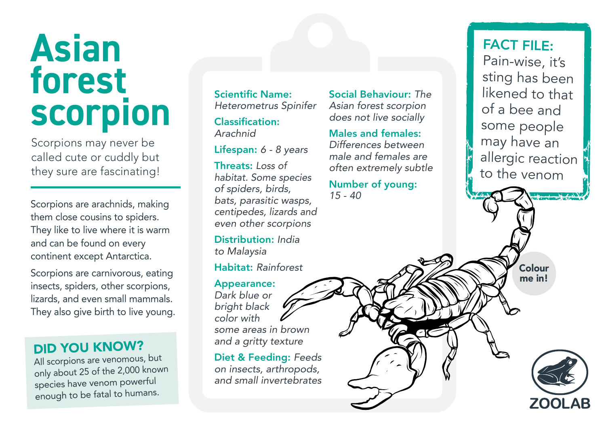## **Asian forest scorpion**

Scorpions may never be called cute or cuddly but they sure are fascinating!

Scorpions are arachnids, making them close cousins to spiders. They like to live where it is warm and can be found on every continent except Antarctica.

Scorpions are carnivorous, eating insects, spiders, other scorpions, lizards, and even small mammals. They also give birth to live young.

### DID YOU KNOW?

All scorpions are venomous, but only about 25 of the 2,000 known species have venom powerful enough to be fatal to humans.

Scientific Name: *Heterometrus Spinifer*

Classification: *Arachnid*

Lifespan: *6 - 8 years*

Threats: *Loss of habitat. Some species of spiders, birds, bats, parasitic wasps, centipedes, lizards and even other scorpions*

Distribution: *India to Malaysia*

Habitat: *Rainforest*

#### Appearance:

*Dark blue or bright black color with some areas in brown and a gritty texture*

Diet & Feeding: *Feeds on insects, arthropods, and small invertebrates*

Social Behaviour: *The Asian forest scorpion does not live socially*

### Males and females:

*Differences between male and females are often extremely subtle*

Number of young: *15 - 40*

FACT FILE: Pain-wise, it's sting has been likened to that of a bee and some people may have an allergic reaction to the venom

> Colour me in!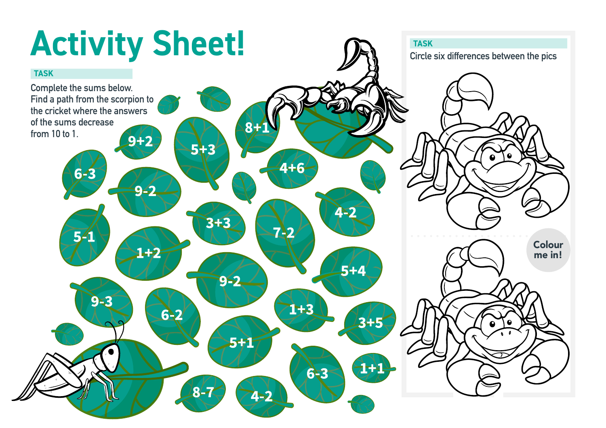